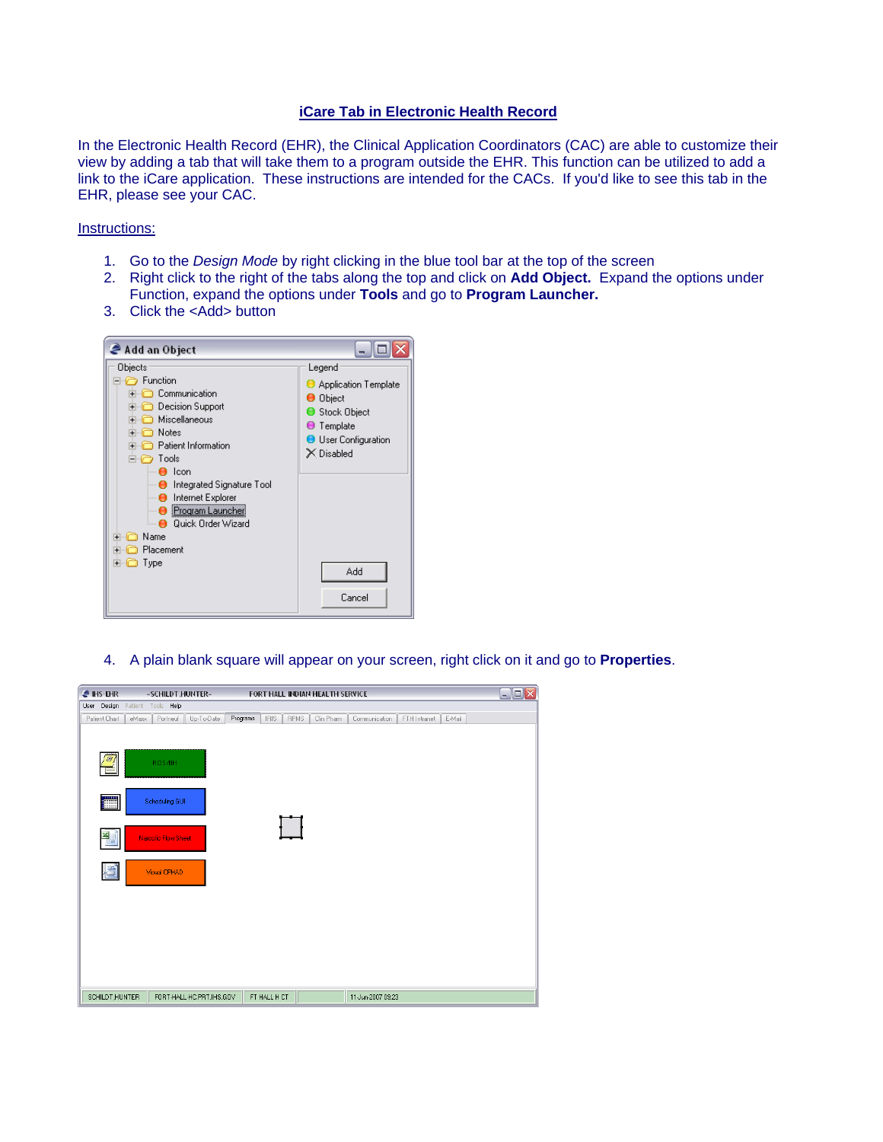## **iCare Tab in Electronic Health Record**

In the Electronic Health Record (EHR), the Clinical Application Coordinators (CAC) are able to customize their view by adding a tab that will take them to a program outside the EHR. This function can be utilized to add a link to the iCare application. These instructions are intended for the CACs. If you'd like to see this tab in the EHR, please see your CAC.

## Instructions:

- 1. Go to the *Design Mode* by right clicking in the blue tool bar at the top of the screen
- 2. Right click to the right of the tabs along the top and click on **Add Object.** Expand the options under Function, expand the options under **Tools** and go to **Program Launcher.**
- 3. Click the <Add> button



4. A plain blank square will appear on your screen, right click on it and go to **Properties**.

| <b>A</b> IHS EHR    | ~SCHILDT,HUNTER~                |                         | FORT HALL INDIAN HEALTH SERVICE |                   |              |        | $\Box$ o $\times$ |
|---------------------|---------------------------------|-------------------------|---------------------------------|-------------------|--------------|--------|-------------------|
|                     | User Design Patient Tools Help  |                         |                                 |                   |              |        |                   |
| Patient Chart       | Up-To-Date<br>eMaxx<br>Portneuf | Programs<br><b>IRIS</b> | <b>RPMS</b><br>Clin Pharm       | Communication     | FTH Intranet | E-Mail |                   |
| $\overline{\omega}$ | RCIS/BH                         |                         |                                 |                   |              |        |                   |
| E                   | Scheduling GUI                  |                         |                                 |                   |              |        |                   |
| 뛜                   | Narcotic Flow Sheet             |                         |                                 |                   |              |        |                   |
| 増                   | Visual CPHAD                    |                         |                                 |                   |              |        |                   |
|                     |                                 |                         |                                 |                   |              |        |                   |
|                     |                                 |                         |                                 |                   |              |        |                   |
|                     |                                 |                         |                                 |                   |              |        |                   |
| SCHILDT, HUNTER     | FORT-HALL-HC.PRT.IHS.GOV        | FT HALL H CT            |                                 | 11-Jun-2007 09:23 |              |        |                   |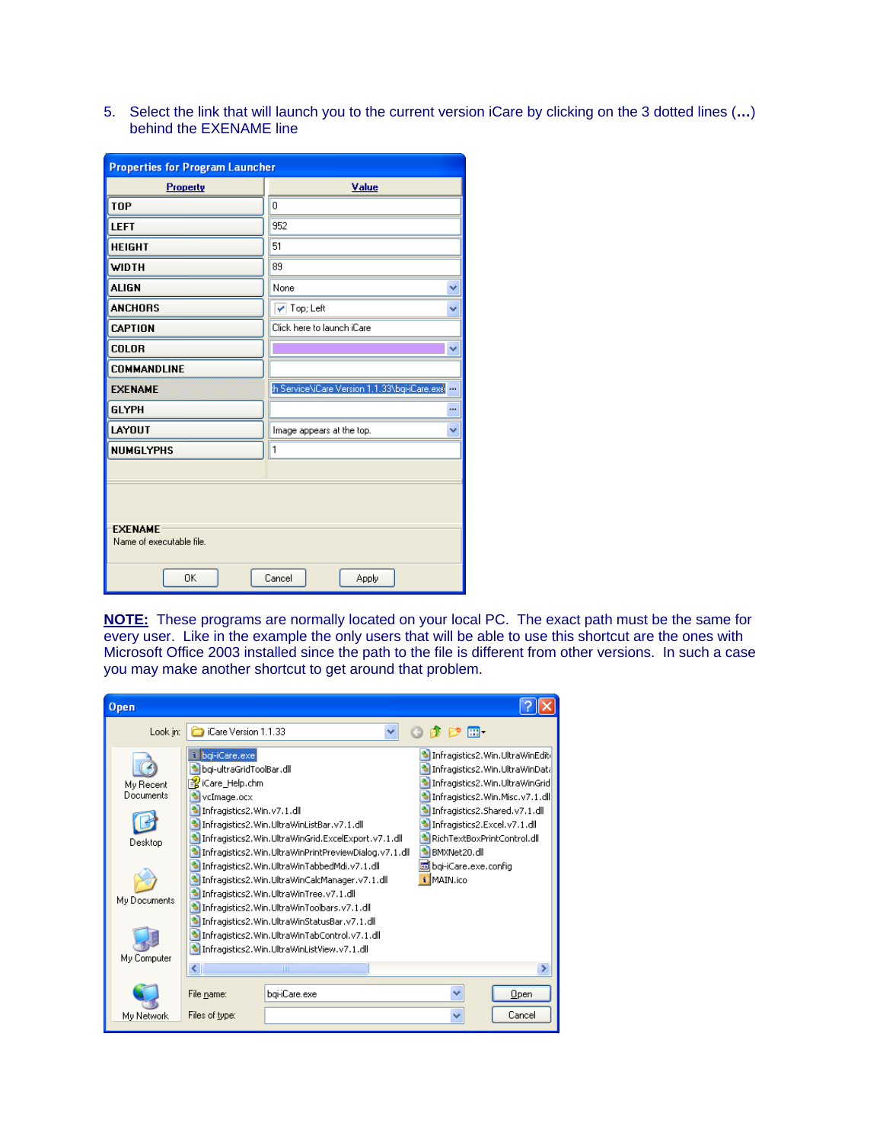5. Select the link that will launch you to the current version iCare by clicking on the 3 dotted lines (**…**) behind the EXENAME line

| <b>Properties for Program Launcher</b>     |                                                  |  |  |  |  |
|--------------------------------------------|--------------------------------------------------|--|--|--|--|
| Property                                   | Value                                            |  |  |  |  |
| <b>TOP</b>                                 | 0                                                |  |  |  |  |
| LEFT                                       | 952                                              |  |  |  |  |
| <b>HEIGHT</b>                              | 51                                               |  |  |  |  |
| WIDTH                                      | 89                                               |  |  |  |  |
| <b>ALIGN</b>                               | None<br>v                                        |  |  |  |  |
| <b>ANCHORS</b>                             | $\blacktriangledown$ Top; Left<br>٧              |  |  |  |  |
| <b>CAPTION</b>                             | Click here to launch iCare                       |  |  |  |  |
| <b>COLOR</b>                               | v                                                |  |  |  |  |
| COMMANDLINE                                |                                                  |  |  |  |  |
| <b>EXENAME</b>                             | h Service\iCare Version 1.1.33\bqi-iCare.exe<br> |  |  |  |  |
| <b>GLYPH</b>                               |                                                  |  |  |  |  |
| LAYOUT                                     | Image appears at the top.<br>v                   |  |  |  |  |
| <b>NUMGLYPHS</b>                           | 1                                                |  |  |  |  |
|                                            |                                                  |  |  |  |  |
|                                            |                                                  |  |  |  |  |
| <b>EXENAME</b><br>Name of executable file. |                                                  |  |  |  |  |
| OK                                         | Cancel<br>Apply                                  |  |  |  |  |

 **NOTE:** These programs are normally located on your local PC. The exact path must be the same for every user. Like in the example the only users that will be able to use this shortcut are the ones with Microsoft Office 2003 installed since the path to the file is different from other versions. In such a case you may make another shortcut to get around that problem.

| Open                                                             |                                                                                                             |                                                                                                                                                                                                                                                                                                                                                                                                                                                                                                            |                                                      |                                                                                                                                                                                                                                              |
|------------------------------------------------------------------|-------------------------------------------------------------------------------------------------------------|------------------------------------------------------------------------------------------------------------------------------------------------------------------------------------------------------------------------------------------------------------------------------------------------------------------------------------------------------------------------------------------------------------------------------------------------------------------------------------------------------------|------------------------------------------------------|----------------------------------------------------------------------------------------------------------------------------------------------------------------------------------------------------------------------------------------------|
| Look in:                                                         | iCare Version 1.1.33                                                                                        |                                                                                                                                                                                                                                                                                                                                                                                                                                                                                                            | ை. ொ                                                 |                                                                                                                                                                                                                                              |
| My Recent<br>Documents<br>Desktop<br>My Documents<br>My Computer | bqi-iCare.exe<br>bgi-ultraGridToolBar.dll<br>望iCare_Help.chm<br>vcImage.ocx<br>Infragistics2. Win. v7.1.dll | Infragistics2. Win.UltraWinListBar.v7.1.dll<br>Infragistics2.Win.UltraWinGrid.ExcelExport.v7.1.dll<br>Infragistics2.Win.UltraWinPrintPreviewDialog.v7.1.dll<br>Infragistics2.Win.UltraWinTabbedMdi.v7.1.dll<br>Infragistics2.Win.UltraWinCalcManager.v7.1.dll<br>Infragistics2.Win.UltraWinTree.v7.1.dll<br>Infragistics2. Win. UltraWinToolbars.v7.1.dll<br>Infragistics2.Win.UltraWinStatusBar.v7.1.dll<br>Infragistics2.Win.UltraWinTabControl.v7.1.dll<br>Infragistics2. Win.UltraWinListView.v7.1.dll | S BMXNet20.dll<br>bqi-iCare.exe.config<br>i MAIN.ico | Infragistics2. Win. UltraWinEditi<br>Infragistics2.Win.UltraWinData<br>Infragistics2. Win.UltraWinGrid<br>Infragistics2. Win. Misc. v7.1.dll<br>Infragistics2.Shared.v7.1.dll<br>Infragistics2.Excel.v7.1.dll<br>RichTextBoxPrintControl.dll |
|                                                                  |                                                                                                             | <b>IIII</b>                                                                                                                                                                                                                                                                                                                                                                                                                                                                                                |                                                      |                                                                                                                                                                                                                                              |
|                                                                  | File name:                                                                                                  | bgi-iCare.exe                                                                                                                                                                                                                                                                                                                                                                                                                                                                                              |                                                      | $Q$ pen                                                                                                                                                                                                                                      |
| My Network                                                       | Files of type:                                                                                              |                                                                                                                                                                                                                                                                                                                                                                                                                                                                                                            |                                                      | Cancel                                                                                                                                                                                                                                       |